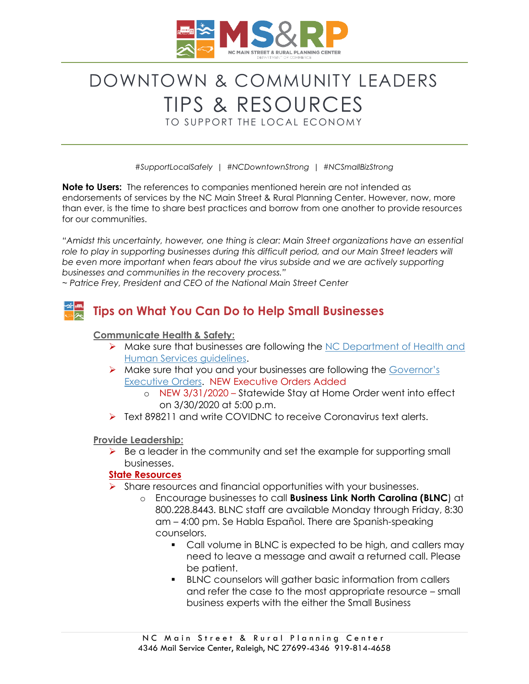

# DOWNTOWN & COMMUNITY LEADERS TIPS & RESOURCES

TO SUPPORT THE LOCAL ECONOMY

*#SupportLocalSafely | #NCDowntownStrong | #NCSmallBizStrong*

**Note to Users:** The references to companies mentioned herein are not intended as endorsements of services by the NC Main Street & Rural Planning Center. However, now, more than ever, is the time to share best practices and borrow from one another to provide resources for our communities.

*"Amidst this uncertainty, however, one thing is clear: Main Street organizations have an essential role to play in supporting businesses during this difficult period, and our Main Street leaders will be even more important when fears about the virus subside and we are actively supporting businesses and communities in the recovery process."*

*~ Patrice Frey, President and CEO of the National Main Street Center*

## **Tips on What You Can Do to Help Small Businesses**

#### **Communicate Health & Safety:**

- ➢ Make sure that businesses are following the [NC Department of Health and](https://www.ncdhhs.gov/divisions/public-health/coronavirus-disease-2019-covid-19-response-north-carolina/businesses-employers)  [Human Services guidelines.](https://www.ncdhhs.gov/divisions/public-health/coronavirus-disease-2019-covid-19-response-north-carolina/businesses-employers)
- ➢ Make sure that you and your businesses are following the [Governor's](https://governor.nc.gov/news/executive-orders)  [Executive Orders.](https://governor.nc.gov/news/executive-orders) NEW Executive Orders Added
	- o NEW 3/31/2020 Statewide Stay at Home Order went into effect on 3/30/2020 at 5:00 p.m.
- ➢ Text 898211 and write COVIDNC to receive Coronavirus text alerts.

#### **Provide Leadership:**

➢ Be a leader in the community and set the example for supporting small businesses.

#### **State Resources**

- ➢ Share resources and financial opportunities with your businesses.
	- o Encourage businesses to call **Business Link North Carolina (BLNC**) at 800.228.8443. BLNC staff are available Monday through Friday, 8:30 am – 4:00 pm. Se Habla Español. There are Spanish-speaking counselors.
		- Call volume in BLNC is expected to be high, and callers may need to leave a message and await a returned call. Please be patient.
		- BLNC counselors will gather basic information from callers and refer the case to the most appropriate resource – small business experts with the either the Small Business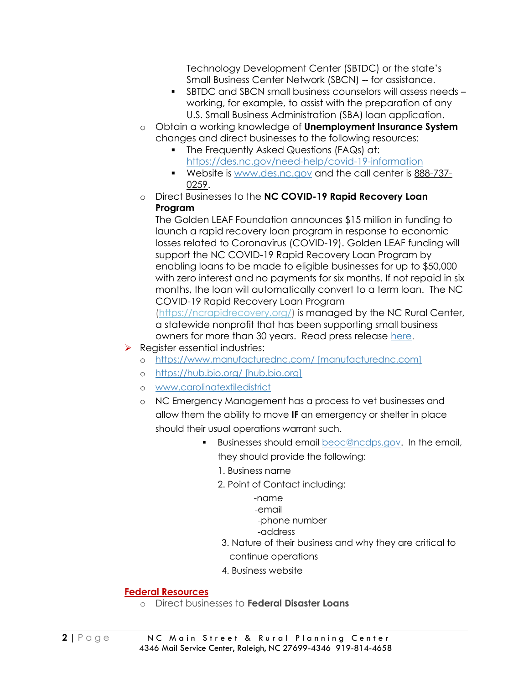Technology Development Center (SBTDC) or the state's Small Business Center Network (SBCN) -- for assistance.

- SBTDC and SBCN small business counselors will assess needs working, for example, to assist with the preparation of any U.S. Small Business Administration (SBA) loan application.
- o Obtain a working knowledge of **Unemployment Insurance System**  changes and direct businesses to the following resources:
	- **•** The Frequently Asked Questions (FAQs) at:
		- <https://des.nc.gov/need-help/covid-19-information>
	- Website is [www.des.nc.gov](http://www.des.nc.gov/) and the call center is [888-737-](tel:888-737-0259) [0259.](tel:888-737-0259)
- o Direct Businesses to the **NC COVID-19 Rapid Recovery Loan Program**

The Golden LEAF Foundation announces \$15 million in funding to launch a rapid recovery loan program in response to economic losses related to Coronavirus (COVID-19). Golden LEAF funding will support the NC COVID-19 Rapid Recovery Loan Program by enabling loans to be made to eligible businesses for up to \$50,000 with zero interest and no payments for six months. If not repaid in six months, the loan will automatically convert to a term loan. The NC COVID-19 Rapid Recovery Loan Program

[\(https://ncrapidrecovery.org/\)](https://ncrapidrecovery.org/) is managed by the NC Rural Center, a statewide nonprofit that has been supporting small business owners for more than 30 years. Read press release [here.](https://www.goldenleaf.org/news/golden-leaf-deploys-15m-for-nc-covid-19-rapid-recovery-loan-program/)

- ➢ Register essential industries:
	- o [https://www.manufacturednc.com/ \[manufacturednc.com\]](https://www.manufacturednc.com/%20%5bmanufacturednc.com%5d)
	- o [https://hub.bio.org/ \[hub.bio.org\]](https://hub.bio.org/%20%5bhub.bio.org%5d)
	- o [www.carolinatextiledistrict](http://www.carolinatextiledistrict/)
	- o NC Emergency Management has a process to vet businesses and allow them the ability to move **IF** an emergency or shelter in place should their usual operations warrant such.
		- Businesses should email [beoc@ncdps.gov.](mailto:beoc@ncdps.gov) In the email, they should provide the following:
			- 1. Business name
			- 2. Point of Contact including:
				- -name -email
				- -phone number
				- -address
			- 3. Nature of their business and why they are critical to
			- continue operations
			- 4. Business website

#### **Federal Resources**

o Direct businesses to **Federal Disaster Loans**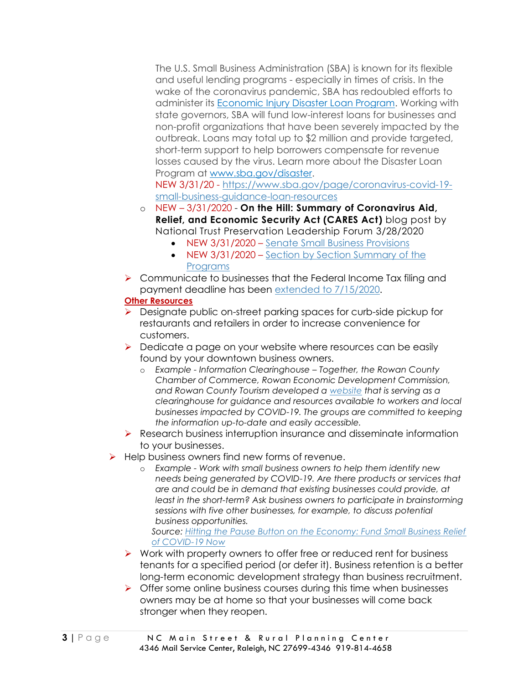The U.S. Small Business Administration (SBA) is known for its flexible and useful lending programs - especially in times of crisis. In the wake of the coronavirus pandemic, SBA has redoubled efforts to administer its [Economic Injury Disaster Loan Program.](https://www.sba.gov/funding-programs/disaster-assistance) Working with state governors, SBA will fund low-interest loans for businesses and non-profit organizations that have been severely impacted by the outbreak. Loans may total up to \$2 million and provide targeted, short-term support to help borrowers compensate for revenue losses caused by the virus. Learn more about the Disaster Loan Program at [www.sba.gov/disaster.](http://www.sba.gov/disaster)

NEW 3/31/20 - [https://www.sba.gov/page/coronavirus-covid-19](https://www.sba.gov/page/coronavirus-covid-19-small-business-guidance-loan-resources) [small-business-guidance-loan-resources](https://www.sba.gov/page/coronavirus-covid-19-small-business-guidance-loan-resources)

- o NEW 3/31/2020 **On the Hill: Summary of Coronavirus Aid, Relief, and Economic Security Act (CARES Act)** blog post by National Trust Preservation Leadership Forum 3/28/2020
	- NEW 3/31/2020 [Senate Small Business Provisions](https://higherlogicdownload.s3.amazonaws.com/SAVINGPLACES/UploadedImages/67a11cfb-d556-4219-8ce3-18bb19ba4bb7/Coronavirus/200325StimulusSmallBizEXPLAINER-FINAL.pdf)
	- NEW 3/31/2020 Section by Section Summary of the [Programs](https://higherlogicdownload.s3.amazonaws.com/SAVINGPLACES/UploadedImages/67a11cfb-d556-4219-8ce3-18bb19ba4bb7/Coronavirus/200325StimulusSmallBizSectionBySection-FINAL.pdf)
- ➢ Communicate to businesses that the Federal Income Tax filing and payment deadline has been [extended to 7/15/2020.](https://www.irs.gov/newsroom/tax-day-now-july-15-treasury-irs-extend-filing-deadline-and-federal-tax-payments-regardless-of-amount-owed)

#### **Other Resources**

- ➢ Designate public on-street parking spaces for curb-side pickup for restaurants and retailers in order to increase convenience for customers.
- ➢ Dedicate a page on your website where resources can be easily found by your downtown business owners.
	- o *Example - Information Clearinghouse – Together, the Rowan County Chamber of Commerce, Rowan Economic Development Commission, and Rowan County Tourism developed a [website](https://www.visitsalisburync.com/plan/hospitality-workers-business-resources/%20%5bvisitsalisburync.com%5d) that is serving as a clearinghouse for guidance and resources available to workers and local businesses impacted by COVID-19. The groups are committed to keeping the information up-to-date and easily accessible.*
- ➢ Research business interruption insurance and disseminate information to your businesses.
- ➢ Help business owners find new forms of revenue.
	- o *Example - Work with small business owners to help them identify new needs being generated by COVID-19. Are there products or services that are and could be in demand that existing businesses could provide, at least in the short-term? Ask business owners to participate in brainstorming sessions with five other businesses, for example, to discuss potential business opportunities.*

*Source: [Hitting the Pause Button on the Economy: Fund Small Business Relief](https://www.recastcity.com/blog-source/2020/3/15/hitting-the-pause-button-on-the-economy-fund-small-business-relief-for-covid-19-now)  [of COVID-19 Now](https://www.recastcity.com/blog-source/2020/3/15/hitting-the-pause-button-on-the-economy-fund-small-business-relief-for-covid-19-now)*

- ➢ Work with property owners to offer free or reduced rent for business tenants for a specified period (or defer it). Business retention is a better long-term economic development strategy than business recruitment.
- ➢ Offer some online business courses during this time when businesses owners may be at home so that your businesses will come back stronger when they reopen.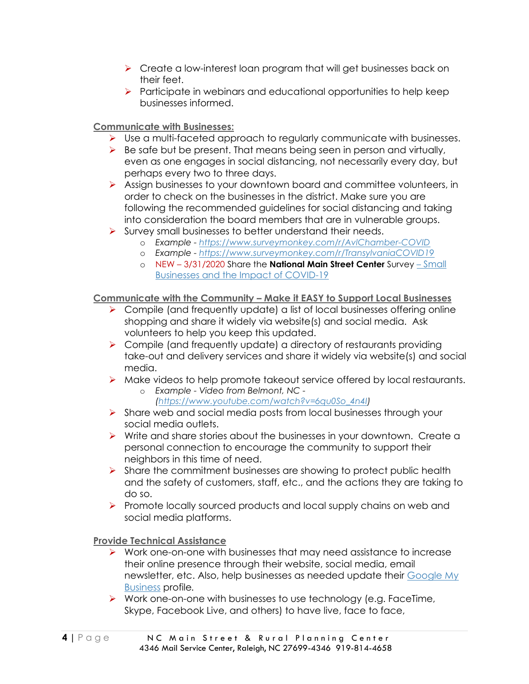- ➢ Create a low-interest loan program that will get businesses back on their feet.
- $\triangleright$  Participate in webinars and educational opportunities to help keep businesses informed.

### **Communicate with Businesses:**

- $\triangleright$  Use a multi-faceted approach to regularly communicate with businesses.
- $\triangleright$  Be safe but be present. That means being seen in person and virtually, even as one engages in social distancing, not necessarily every day, but perhaps every two to three days.
- ➢ Assign businesses to your downtown board and committee volunteers, in order to check on the businesses in the district. Make sure you are following the recommended guidelines for social distancing and taking into consideration the board members that are in vulnerable groups.
- ➢ Survey small businesses to better understand their needs.
	- o *Example - <https://www.surveymonkey.com/r/AvlChamber-COVID>*
	- o *Example - <https://www.surveymonkey.com/r/TransylvaniaCOVID19>*
	- o NEW 3/31/2020 Share the **National Main Street Center** Survey [Small](https://www.surveymonkey.com/r/6K96DHF?fbclid=IwAR3k6v13jz5qmAADqn1wEKvJxrsOWVQZ_mp3V04tYPQwv_KY0MEuJUoIFZs)  [Businesses and the Impact of COVID-19](https://www.surveymonkey.com/r/6K96DHF?fbclid=IwAR3k6v13jz5qmAADqn1wEKvJxrsOWVQZ_mp3V04tYPQwv_KY0MEuJUoIFZs)

#### **Communicate with the Community – Make it EASY to Support Local Businesses**

- ➢ Compile (and frequently update) a list of local businesses offering online shopping and share it widely via website(s) and social media. Ask volunteers to help you keep this updated.
- $\triangleright$  Compile (and frequently update) a directory of restaurants providing take-out and delivery services and share it widely via website(s) and social media.
- ➢ Make videos to help promote takeout service offered by local restaurants.
	- o *Example - Video from Belmont, NC - [\(https://www.youtube.com/watch?v=6qu0So\\_4n4I\)](https://www.youtube.com/watch?v=6qu0So_4n4I)*
- ➢ Share web and social media posts from local businesses through your social media outlets.
- ➢ Write and share stories about the businesses in your downtown. Create a personal connection to encourage the community to support their neighbors in this time of need.
- $\triangleright$  Share the commitment businesses are showing to protect public health and the safety of customers, staff, etc., and the actions they are taking to do so.
- ➢ Promote locally sourced products and local supply chains on web and social media platforms.

#### **Provide Technical Assistance**

- ➢ Work one-on-one with businesses that may need assistance to increase their online presence through their website, social media, email newsletter, etc. Also, help businesses as needed update their [Google My](https://www.google.com/business/go/businessprofile/?gmbsrc=us-en_US-ha-se-z-gmb-s-219-h~z-z-u&ppsrc=GMBS0&utm_campaign=us-en_US-ha-se-z-gmb-s-219-h~z-z-u&utm_source=gmb&utm_medium=ha&&gmbsrc=&ppsrc=&gclid=EAIaIQobChMIpteL9sGm6AIVHYVaBR2nKQxUEAAYASAAEgKzS_D_BwE)  [Business](https://www.google.com/business/go/businessprofile/?gmbsrc=us-en_US-ha-se-z-gmb-s-219-h~z-z-u&ppsrc=GMBS0&utm_campaign=us-en_US-ha-se-z-gmb-s-219-h~z-z-u&utm_source=gmb&utm_medium=ha&&gmbsrc=&ppsrc=&gclid=EAIaIQobChMIpteL9sGm6AIVHYVaBR2nKQxUEAAYASAAEgKzS_D_BwE) profile*.*
- $\triangleright$  Work one-on-one with businesses to use technology (e.g. FaceTime, Skype, Facebook Live, and others) to have live, face to face,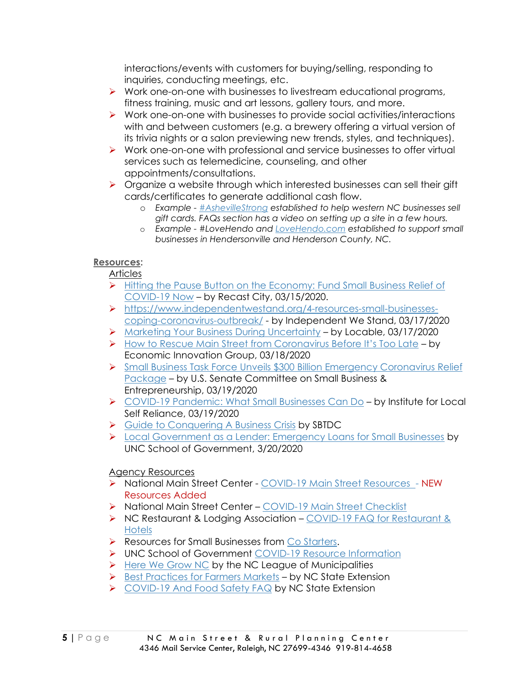interactions/events with customers for buying/selling, responding to inquiries, conducting meetings, etc.

- $\triangleright$  Work one-on-one with businesses to livestream educational programs, fitness training, music and art lessons, gallery tours, and more.
- ➢ Work one-on-one with businesses to provide social activities/interactions with and between customers (e.g. a brewery offering a virtual version of its trivia nights or a salon previewing new trends, styles, and techniques).
- ➢ Work one-on-one with professional and service businesses to offer virtual services such as telemedicine, counseling, and other appointments/consultations.
- ➢ Organize a website through which interested businesses can sell their gift cards/certificates to generate additional cash flow.
	- o *Example - [#AshevilleStrong](https://www.ashevillestrong.com/) established to help western NC businesses sell gift cards. FAQs section has a video on setting up a site in a few hours.*
	- o *Example - #LoveHendo and [LoveHendo.com](https://www.lovehendo.com/) established to support small businesses in Hendersonville and Henderson County, NC.*

#### **Resources:**

Articles

- ➢ [Hitting the Pause Button on the Economy: Fund Small Business Relief of](https://www.recastcity.com/blog-source/2020/3/15/hitting-the-pause-button-on-the-economy-fund-small-business-relief-for-covid-19-now)  [COVID-19 Now](https://www.recastcity.com/blog-source/2020/3/15/hitting-the-pause-button-on-the-economy-fund-small-business-relief-for-covid-19-now) – by Recast City, 03/15/2020.
- ➢ [https://www.independentwestand.org/4-resources-small-businesses](https://www.independentwestand.org/4-resources-small-businesses-coping-coronavirus-outbreak/)[coping-coronavirus-outbreak/](https://www.independentwestand.org/4-resources-small-businesses-coping-coronavirus-outbreak/) - by Independent We Stand, 03/17/2020
- ➢ [Marketing Your Business During Uncertainty](https://www.locable.com/2020/03/13/1082/marketing-your-small-business-or-community-in-this-time-of-the-covid-19-coronavirus/) by Locable, 03/17/2020
- ➢ [How to Rescue Main Street from Coronavirus Before It's Too Late](https://eig.org/news/main-street-rescue-and-resiliency-program) by Economic Innovation Group, 03/18/2020
- ➢ [Small Business Task Force Unveils \\$300 Billion Emergency Coronavirus Relief](https://www.sbc.senate.gov/public/index.cfm/2020/3/small-business-task-forces-unveils-300-billion-emergency-coronavirus-relief-package)  [Package](https://www.sbc.senate.gov/public/index.cfm/2020/3/small-business-task-forces-unveils-300-billion-emergency-coronavirus-relief-package) – by U.S. Senate Committee on Small Business & Entrepreneurship, 03/19/2020
- ➢ [COVID-19 Pandemic: What Small Businesses Can Do](https://ilsr.org/covid-19-pandemic-what-small-businesses-can-do/?fbclid=IwAR3ig-8P_7WOa0UsffL3DKrPXPzm1I8kvAq8tkoYSGfZ92BpENx-7djgYzs) by Institute for Local Self Reliance, 03/19/2020
- ➢ [Guide to Conquering A Business Crisis](http://www.sbtdc.org/coronavirus/documents/Guide%20to%20Conquering%20a%20Business%20Crisis.pdf) by SBTDC
- ➢ [Local Government as a Lender: Emergency Loans for Small Businesses](https://ced.sog.unc.edu/local-government-as-lender-emergency-loans-for-small-businesses/#utm_source=rss&utm_medium=rss&utm_campaign=local-government-as-lender-emergency-loans-for-small-businesses) by UNC School of Government, 3/20/2020

#### Agency Resources

- ➢ National Main Street Center [COVID-19 Main Street Resources](https://www.mainstreet.org/howwecanhelp/resourcecenter/covid19resources) NEW Resources Added
- ➢ National Main Street Center [COVID-19 Main Street Checklist](https://higherlogicdownload.s3.amazonaws.com/NMSC/390e0055-2395-4d3b-af60-81b53974430d/UploadedImages/Resource_Center/COVID_19/COVID19_MS_program_checklist_designed_final.pdf)
- ➢ NC Restaurant & Lodging Association [COVID-19 FAQ for Restaurant &](https://www.ncrla.org/covid-19-faq/)  [Hotels](https://www.ncrla.org/covid-19-faq/)
- ➢ Resources for Small Businesses from [Co Starters.](https://costarters.co/recovery/?fbclid=IwAR29SADKAGK5t0Yqx9MmYXByL7n0oBW6H4lLW1GVCpKZNTBqsLuQ--cFFP0)
- ➢ UNC School of Government [COVID-19 Resource Information](https://www.sog.unc.edu/resources/microsites/coronavirus-covid-19)
- ➢ [Here We Grow NC](https://herewegrownc.org/take-action/) by the NC League of Municipalities
- ➢ [Best Practices for Farmers Markets](https://growingsmallfarms.ces.ncsu.edu/tags/covid-19/) by NC State Extension
- ➢ [COVID-19 And Food Safety FAQ](https://foodsafety.ces.ncsu.edu/wp-content/uploads/2020/03/Takeout_COVID-19_Social-Media-Image_032020.png) by NC State Extension